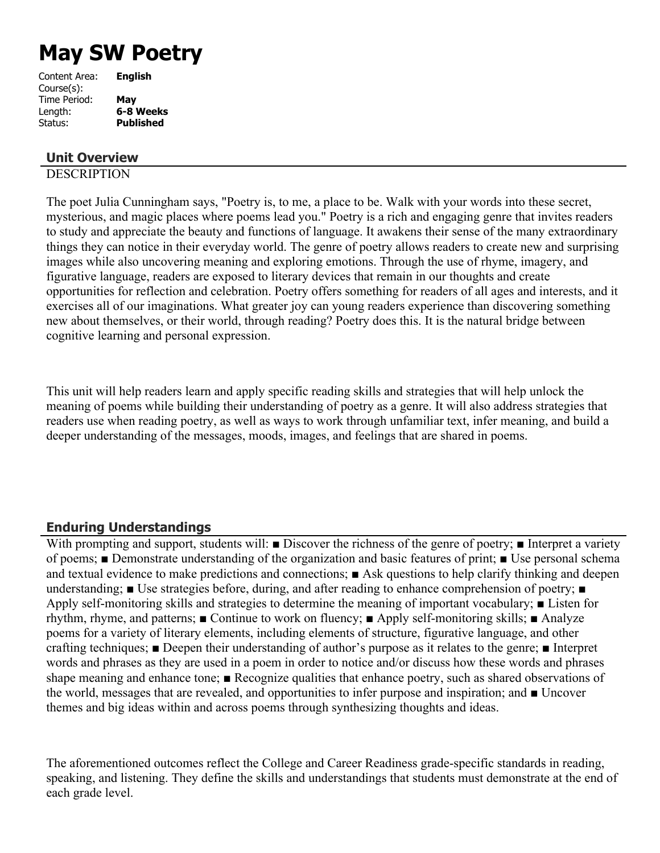# **May SW Poetry**

| <b>English</b>   |
|------------------|
|                  |
| May              |
| 6-8 Weeks        |
| <b>Published</b> |
|                  |

# **Unit Overview**

# **DESCRIPTION**

The poet Julia Cunningham says, "Poetry is, to me, a place to be. Walk with your words into these secret, mysterious, and magic places where poems lead you." Poetry is a rich and engaging genre that invites readers to study and appreciate the beauty and functions of language. It awakens their sense of the many extraordinary things they can notice in their everyday world. The genre of poetry allows readers to create new and surprising images while also uncovering meaning and exploring emotions. Through the use of rhyme, imagery, and figurative language, readers are exposed to literary devices that remain in our thoughts and create opportunities for reflection and celebration. Poetry offers something for readers of all ages and interests, and it exercises all of our imaginations. What greater joy can young readers experience than discovering something new about themselves, or their world, through reading? Poetry does this. It is the natural bridge between cognitive learning and personal expression.

This unit will help readers learn and apply specific reading skills and strategies that will help unlock the meaning of poems while building their understanding of poetry as a genre. It will also address strategies that readers use when reading poetry, as well as ways to work through unfamiliar text, infer meaning, and build a deeper understanding of the messages, moods, images, and feelings that are shared in poems.

## **Enduring Understandings**

With prompting and support, students will: ■ Discover the richness of the genre of poetry; ■ Interpret a variety of poems; ■ Demonstrate understanding of the organization and basic features of print; ■ Use personal schema and textual evidence to make predictions and connections; ■ Ask questions to help clarify thinking and deepen understanding; ■ Use strategies before, during, and after reading to enhance comprehension of poetry; ■ Apply self-monitoring skills and strategies to determine the meaning of important vocabulary; ■ Listen for rhythm, rhyme, and patterns; ■ Continue to work on fluency; ■ Apply self-monitoring skills; ■ Analyze poems for a variety of literary elements, including elements of structure, figurative language, and other crafting techniques; ■ Deepen their understanding of author's purpose as it relates to the genre; ■ Interpret words and phrases as they are used in a poem in order to notice and/or discuss how these words and phrases shape meaning and enhance tone; ■ Recognize qualities that enhance poetry, such as shared observations of the world, messages that are revealed, and opportunities to infer purpose and inspiration; and ■ Uncover themes and big ideas within and across poems through synthesizing thoughts and ideas.

The aforementioned outcomes reflect the College and Career Readiness grade-specific standards in reading, speaking, and listening. They define the skills and understandings that students must demonstrate at the end of each grade level.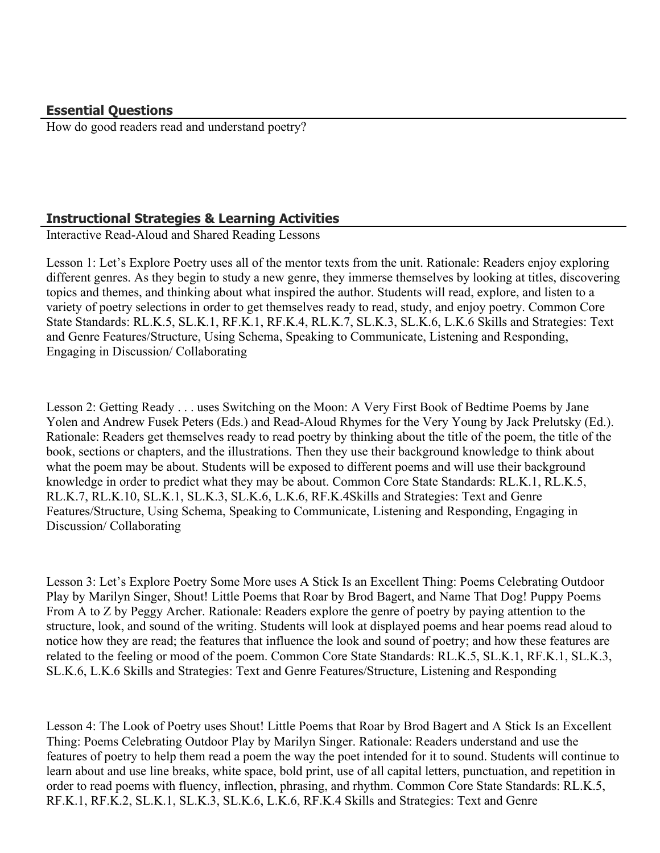How do good readers read and understand poetry?

# **Instructional Strategies & Learning Activities**

Interactive Read-Aloud and Shared Reading Lessons

Lesson 1: Let's Explore Poetry uses all of the mentor texts from the unit. Rationale: Readers enjoy exploring different genres. As they begin to study a new genre, they immerse themselves by looking at titles, discovering topics and themes, and thinking about what inspired the author. Students will read, explore, and listen to a variety of poetry selections in order to get themselves ready to read, study, and enjoy poetry. Common Core State Standards: RL.K.5, SL.K.1, RF.K.1, RF.K.4, RL.K.7, SL.K.3, SL.K.6, L.K.6 Skills and Strategies: Text and Genre Features/Structure, Using Schema, Speaking to Communicate, Listening and Responding, Engaging in Discussion/ Collaborating

Lesson 2: Getting Ready . . . uses Switching on the Moon: A Very First Book of Bedtime Poems by Jane Yolen and Andrew Fusek Peters (Eds.) and Read-Aloud Rhymes for the Very Young by Jack Prelutsky (Ed.). Rationale: Readers get themselves ready to read poetry by thinking about the title of the poem, the title of the book, sections or chapters, and the illustrations. Then they use their background knowledge to think about what the poem may be about. Students will be exposed to different poems and will use their background knowledge in order to predict what they may be about. Common Core State Standards: RL.K.1, RL.K.5, RL.K.7, RL.K.10, SL.K.1, SL.K.3, SL.K.6, L.K.6, RF.K.4Skills and Strategies: Text and Genre Features/Structure, Using Schema, Speaking to Communicate, Listening and Responding, Engaging in Discussion/ Collaborating

Lesson 3: Let's Explore Poetry Some More uses A Stick Is an Excellent Thing: Poems Celebrating Outdoor Play by Marilyn Singer, Shout! Little Poems that Roar by Brod Bagert, and Name That Dog! Puppy Poems From A to Z by Peggy Archer. Rationale: Readers explore the genre of poetry by paying attention to the structure, look, and sound of the writing. Students will look at displayed poems and hear poems read aloud to notice how they are read; the features that influence the look and sound of poetry; and how these features are related to the feeling or mood of the poem. Common Core State Standards: RL.K.5, SL.K.1, RF.K.1, SL.K.3, SL.K.6, L.K.6 Skills and Strategies: Text and Genre Features/Structure, Listening and Responding

Lesson 4: The Look of Poetry uses Shout! Little Poems that Roar by Brod Bagert and A Stick Is an Excellent Thing: Poems Celebrating Outdoor Play by Marilyn Singer. Rationale: Readers understand and use the features of poetry to help them read a poem the way the poet intended for it to sound. Students will continue to learn about and use line breaks, white space, bold print, use of all capital letters, punctuation, and repetition in order to read poems with fluency, inflection, phrasing, and rhythm. Common Core State Standards: RL.K.5, RF.K.1, RF.K.2, SL.K.1, SL.K.3, SL.K.6, L.K.6, RF.K.4 Skills and Strategies: Text and Genre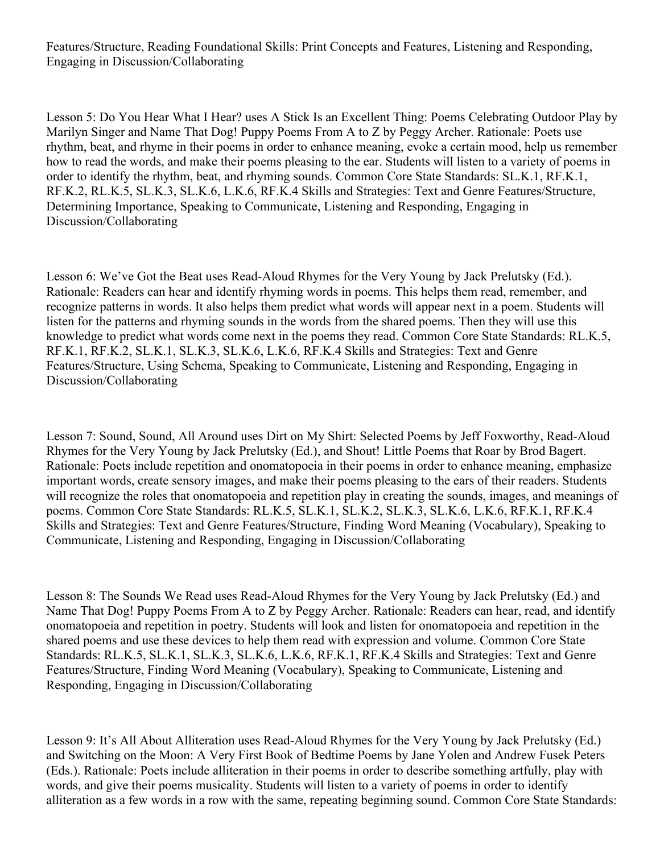Features/Structure, Reading Foundational Skills: Print Concepts and Features, Listening and Responding, Engaging in Discussion/Collaborating

Lesson 5: Do You Hear What I Hear? uses A Stick Is an Excellent Thing: Poems Celebrating Outdoor Play by Marilyn Singer and Name That Dog! Puppy Poems From A to Z by Peggy Archer. Rationale: Poets use rhythm, beat, and rhyme in their poems in order to enhance meaning, evoke a certain mood, help us remember how to read the words, and make their poems pleasing to the ear. Students will listen to a variety of poems in order to identify the rhythm, beat, and rhyming sounds. Common Core State Standards: SL.K.1, RF.K.1, RF.K.2, RL.K.5, SL.K.3, SL.K.6, L.K.6, RF.K.4 Skills and Strategies: Text and Genre Features/Structure, Determining Importance, Speaking to Communicate, Listening and Responding, Engaging in Discussion/Collaborating

Lesson 6: We've Got the Beat uses Read-Aloud Rhymes for the Very Young by Jack Prelutsky (Ed.). Rationale: Readers can hear and identify rhyming words in poems. This helps them read, remember, and recognize patterns in words. It also helps them predict what words will appear next in a poem. Students will listen for the patterns and rhyming sounds in the words from the shared poems. Then they will use this knowledge to predict what words come next in the poems they read. Common Core State Standards: RL.K.5, RF.K.1, RF.K.2, SL.K.1, SL.K.3, SL.K.6, L.K.6, RF.K.4 Skills and Strategies: Text and Genre Features/Structure, Using Schema, Speaking to Communicate, Listening and Responding, Engaging in Discussion/Collaborating

Lesson 7: Sound, Sound, All Around uses Dirt on My Shirt: Selected Poems by Jeff Foxworthy, Read-Aloud Rhymes for the Very Young by Jack Prelutsky (Ed.), and Shout! Little Poems that Roar by Brod Bagert. Rationale: Poets include repetition and onomatopoeia in their poems in order to enhance meaning, emphasize important words, create sensory images, and make their poems pleasing to the ears of their readers. Students will recognize the roles that onomatopoeia and repetition play in creating the sounds, images, and meanings of poems. Common Core State Standards: RL.K.5, SL.K.1, SL.K.2, SL.K.3, SL.K.6, L.K.6, RF.K.1, RF.K.4 Skills and Strategies: Text and Genre Features/Structure, Finding Word Meaning (Vocabulary), Speaking to Communicate, Listening and Responding, Engaging in Discussion/Collaborating

Lesson 8: The Sounds We Read uses Read-Aloud Rhymes for the Very Young by Jack Prelutsky (Ed.) and Name That Dog! Puppy Poems From A to Z by Peggy Archer. Rationale: Readers can hear, read, and identify onomatopoeia and repetition in poetry. Students will look and listen for onomatopoeia and repetition in the shared poems and use these devices to help them read with expression and volume. Common Core State Standards: RL.K.5, SL.K.1, SL.K.3, SL.K.6, L.K.6, RF.K.1, RF.K.4 Skills and Strategies: Text and Genre Features/Structure, Finding Word Meaning (Vocabulary), Speaking to Communicate, Listening and Responding, Engaging in Discussion/Collaborating

Lesson 9: It's All About Alliteration uses Read-Aloud Rhymes for the Very Young by Jack Prelutsky (Ed.) and Switching on the Moon: A Very First Book of Bedtime Poems by Jane Yolen and Andrew Fusek Peters (Eds.). Rationale: Poets include alliteration in their poems in order to describe something artfully, play with words, and give their poems musicality. Students will listen to a variety of poems in order to identify alliteration as a few words in a row with the same, repeating beginning sound. Common Core State Standards: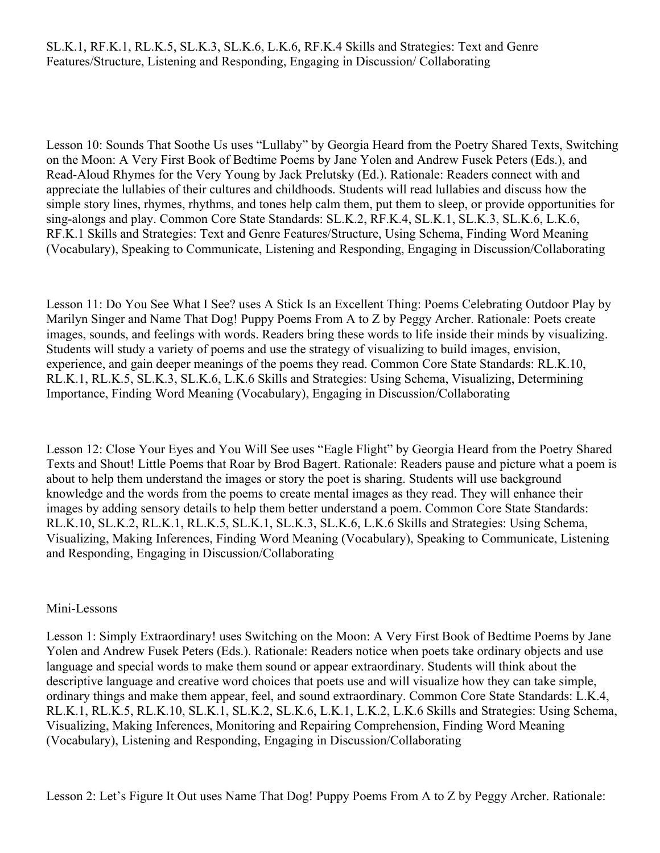#### SL.K.1, RF.K.1, RL.K.5, SL.K.3, SL.K.6, L.K.6, RF.K.4 Skills and Strategies: Text and Genre Features/Structure, Listening and Responding, Engaging in Discussion/ Collaborating

Lesson 10: Sounds That Soothe Us uses "Lullaby" by Georgia Heard from the Poetry Shared Texts, Switching on the Moon: A Very First Book of Bedtime Poems by Jane Yolen and Andrew Fusek Peters (Eds.), and Read-Aloud Rhymes for the Very Young by Jack Prelutsky (Ed.). Rationale: Readers connect with and appreciate the lullabies of their cultures and childhoods. Students will read lullabies and discuss how the simple story lines, rhymes, rhythms, and tones help calm them, put them to sleep, or provide opportunities for sing-alongs and play. Common Core State Standards: SL.K.2, RF.K.4, SL.K.1, SL.K.3, SL.K.6, L.K.6, RF.K.1 Skills and Strategies: Text and Genre Features/Structure, Using Schema, Finding Word Meaning (Vocabulary), Speaking to Communicate, Listening and Responding, Engaging in Discussion/Collaborating

Lesson 11: Do You See What I See? uses A Stick Is an Excellent Thing: Poems Celebrating Outdoor Play by Marilyn Singer and Name That Dog! Puppy Poems From A to Z by Peggy Archer. Rationale: Poets create images, sounds, and feelings with words. Readers bring these words to life inside their minds by visualizing. Students will study a variety of poems and use the strategy of visualizing to build images, envision, experience, and gain deeper meanings of the poems they read. Common Core State Standards: RL.K.10, RL.K.1, RL.K.5, SL.K.3, SL.K.6, L.K.6 Skills and Strategies: Using Schema, Visualizing, Determining Importance, Finding Word Meaning (Vocabulary), Engaging in Discussion/Collaborating

Lesson 12: Close Your Eyes and You Will See uses "Eagle Flight" by Georgia Heard from the Poetry Shared Texts and Shout! Little Poems that Roar by Brod Bagert. Rationale: Readers pause and picture what a poem is about to help them understand the images or story the poet is sharing. Students will use background knowledge and the words from the poems to create mental images as they read. They will enhance their images by adding sensory details to help them better understand a poem. Common Core State Standards: RL.K.10, SL.K.2, RL.K.1, RL.K.5, SL.K.1, SL.K.3, SL.K.6, L.K.6 Skills and Strategies: Using Schema, Visualizing, Making Inferences, Finding Word Meaning (Vocabulary), Speaking to Communicate, Listening and Responding, Engaging in Discussion/Collaborating

#### Mini-Lessons

Lesson 1: Simply Extraordinary! uses Switching on the Moon: A Very First Book of Bedtime Poems by Jane Yolen and Andrew Fusek Peters (Eds.). Rationale: Readers notice when poets take ordinary objects and use language and special words to make them sound or appear extraordinary. Students will think about the descriptive language and creative word choices that poets use and will visualize how they can take simple, ordinary things and make them appear, feel, and sound extraordinary. Common Core State Standards: L.K.4, RL.K.1, RL.K.5, RL.K.10, SL.K.1, SL.K.2, SL.K.6, L.K.1, L.K.2, L.K.6 Skills and Strategies: Using Schema, Visualizing, Making Inferences, Monitoring and Repairing Comprehension, Finding Word Meaning (Vocabulary), Listening and Responding, Engaging in Discussion/Collaborating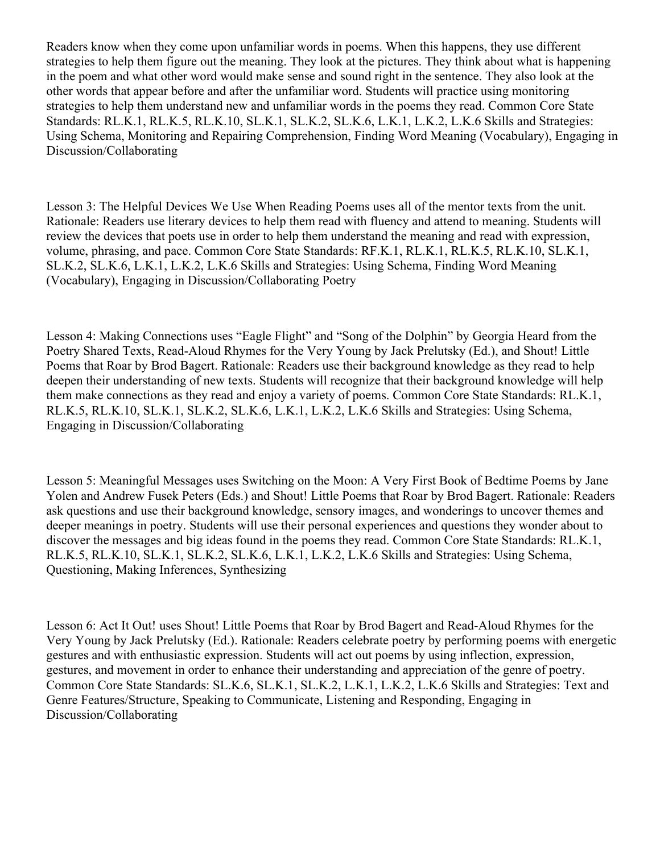Readers know when they come upon unfamiliar words in poems. When this happens, they use different strategies to help them figure out the meaning. They look at the pictures. They think about what is happening in the poem and what other word would make sense and sound right in the sentence. They also look at the other words that appear before and after the unfamiliar word. Students will practice using monitoring strategies to help them understand new and unfamiliar words in the poems they read. Common Core State Standards: RL.K.1, RL.K.5, RL.K.10, SL.K.1, SL.K.2, SL.K.6, L.K.1, L.K.2, L.K.6 Skills and Strategies: Using Schema, Monitoring and Repairing Comprehension, Finding Word Meaning (Vocabulary), Engaging in Discussion/Collaborating

Lesson 3: The Helpful Devices We Use When Reading Poems uses all of the mentor texts from the unit. Rationale: Readers use literary devices to help them read with fluency and attend to meaning. Students will review the devices that poets use in order to help them understand the meaning and read with expression, volume, phrasing, and pace. Common Core State Standards: RF.K.1, RL.K.1, RL.K.5, RL.K.10, SL.K.1, SL.K.2, SL.K.6, L.K.1, L.K.2, L.K.6 Skills and Strategies: Using Schema, Finding Word Meaning (Vocabulary), Engaging in Discussion/Collaborating Poetry

Lesson 4: Making Connections uses "Eagle Flight" and "Song of the Dolphin" by Georgia Heard from the Poetry Shared Texts, Read-Aloud Rhymes for the Very Young by Jack Prelutsky (Ed.), and Shout! Little Poems that Roar by Brod Bagert. Rationale: Readers use their background knowledge as they read to help deepen their understanding of new texts. Students will recognize that their background knowledge will help them make connections as they read and enjoy a variety of poems. Common Core State Standards: RL.K.1, RL.K.5, RL.K.10, SL.K.1, SL.K.2, SL.K.6, L.K.1, L.K.2, L.K.6 Skills and Strategies: Using Schema, Engaging in Discussion/Collaborating

Lesson 5: Meaningful Messages uses Switching on the Moon: A Very First Book of Bedtime Poems by Jane Yolen and Andrew Fusek Peters (Eds.) and Shout! Little Poems that Roar by Brod Bagert. Rationale: Readers ask questions and use their background knowledge, sensory images, and wonderings to uncover themes and deeper meanings in poetry. Students will use their personal experiences and questions they wonder about to discover the messages and big ideas found in the poems they read. Common Core State Standards: RL.K.1, RL.K.5, RL.K.10, SL.K.1, SL.K.2, SL.K.6, L.K.1, L.K.2, L.K.6 Skills and Strategies: Using Schema, Questioning, Making Inferences, Synthesizing

Lesson 6: Act It Out! uses Shout! Little Poems that Roar by Brod Bagert and Read-Aloud Rhymes for the Very Young by Jack Prelutsky (Ed.). Rationale: Readers celebrate poetry by performing poems with energetic gestures and with enthusiastic expression. Students will act out poems by using inflection, expression, gestures, and movement in order to enhance their understanding and appreciation of the genre of poetry. Common Core State Standards: SL.K.6, SL.K.1, SL.K.2, L.K.1, L.K.2, L.K.6 Skills and Strategies: Text and Genre Features/Structure, Speaking to Communicate, Listening and Responding, Engaging in Discussion/Collaborating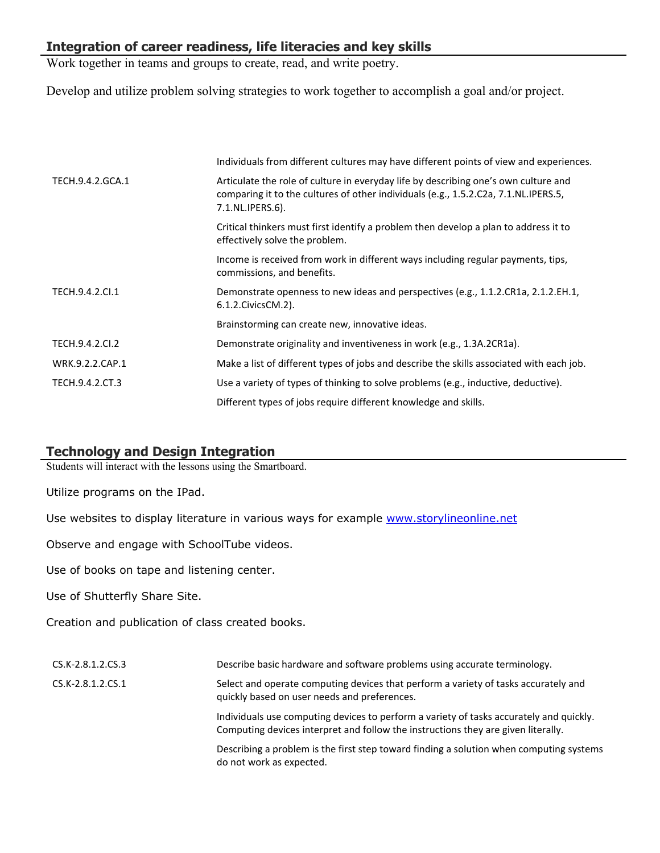# **Integration of career readiness, life literacies and key skills**

Work together in teams and groups to create, read, and write poetry.

Develop and utilize problem solving strategies to work together to accomplish a goal and/or project.

|                  | Individuals from different cultures may have different points of view and experiences.                                                                                                         |
|------------------|------------------------------------------------------------------------------------------------------------------------------------------------------------------------------------------------|
| TECH.9.4.2.GCA.1 | Articulate the role of culture in everyday life by describing one's own culture and<br>comparing it to the cultures of other individuals (e.g., 1.5.2.C2a, 7.1.NL.IPERS.5,<br>7.1.NL.IPERS.6). |
|                  | Critical thinkers must first identify a problem then develop a plan to address it to<br>effectively solve the problem.                                                                         |
|                  | Income is received from work in different ways including regular payments, tips,<br>commissions, and benefits.                                                                                 |
| TECH.9.4.2.Cl.1  | Demonstrate openness to new ideas and perspectives (e.g., 1.1.2.CR1a, 2.1.2.EH.1,<br>6.1.2. Civics CM. 2).                                                                                     |
|                  | Brainstorming can create new, innovative ideas.                                                                                                                                                |
| TECH.9.4.2.CI.2  | Demonstrate originality and inventiveness in work (e.g., 1.3A.2CR1a).                                                                                                                          |
| WRK.9.2.2.CAP.1  | Make a list of different types of jobs and describe the skills associated with each job.                                                                                                       |
| TECH.9.4.2.CT.3  | Use a variety of types of thinking to solve problems (e.g., inductive, deductive).                                                                                                             |
|                  | Different types of jobs require different knowledge and skills.                                                                                                                                |

# **Technology and Design Integration**

Students will interact with the lessons using the Smartboard.

Utilize programs on the IPad.

Use websites to display literature in various ways for example [www.storylineonline.net](http://www.storylineonline.net/)

Observe and engage with SchoolTube videos.

Use of books on tape and listening center.

Use of Shutterfly Share Site.

Creation and publication of class created books.

| CS.K-2.8.1.2.CS.3 | Describe basic hardware and software problems using accurate terminology.                                                                                                    |
|-------------------|------------------------------------------------------------------------------------------------------------------------------------------------------------------------------|
| CS.K-2.8.1.2.CS.1 | Select and operate computing devices that perform a variety of tasks accurately and<br>quickly based on user needs and preferences.                                          |
|                   | Individuals use computing devices to perform a variety of tasks accurately and quickly.<br>Computing devices interpret and follow the instructions they are given literally. |
|                   | Describing a problem is the first step toward finding a solution when computing systems<br>do not work as expected.                                                          |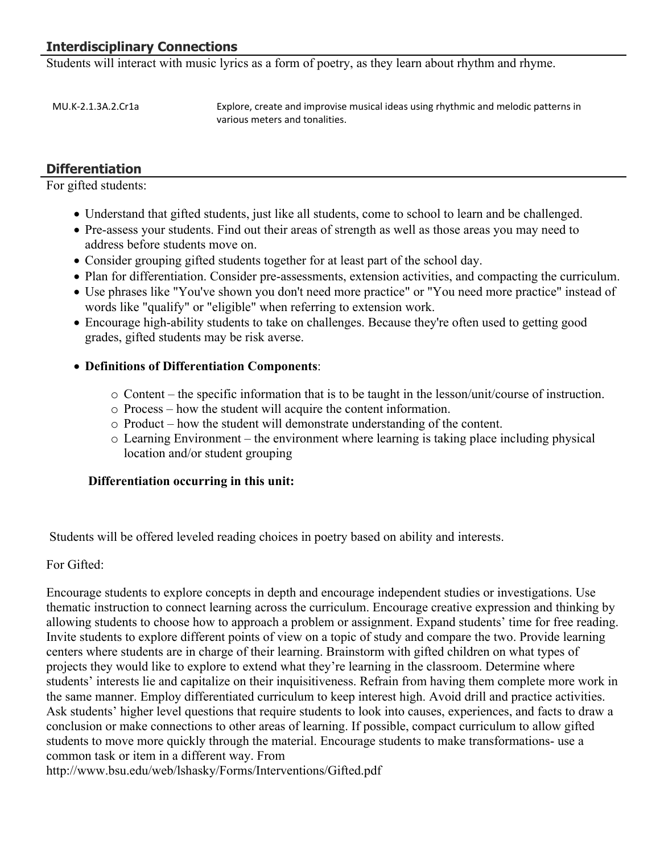# **Interdisciplinary Connections**

Students will interact with music lyrics as a form of poetry, as they learn about rhythm and rhyme.

MU.K-2.1.3A.2.Cr1a Explore, create and improvise musical ideas using rhythmic and melodic patterns in various meters and tonalities.

# **Differentiation**

For gifted students:

- Understand that gifted students, just like all students, come to school to learn and be challenged.
- Pre-assess your students. Find out their areas of strength as well as those areas you may need to address before students move on.
- Consider grouping gifted students together for at least part of the school day.
- Plan for differentiation. Consider pre-assessments, extension activities, and compacting the curriculum.
- Use phrases like "You've shown you don't need more practice" or "You need more practice" instead of words like "qualify" or "eligible" when referring to extension work.
- Encourage high-ability students to take on challenges. Because they're often used to getting good grades, gifted students may be risk averse.

## **Definitions of Differentiation Components**:

- $\circ$  Content the specific information that is to be taught in the lesson/unit/course of instruction.
- o Process how the student will acquire the content information.
- o Product how the student will demonstrate understanding of the content.
- o Learning Environment the environment where learning is taking place including physical location and/or student grouping

## **Differentiation occurring in this unit:**

Students will be offered leveled reading choices in poetry based on ability and interests.

For Gifted:

Encourage students to explore concepts in depth and encourage independent studies or investigations. Use thematic instruction to connect learning across the curriculum. Encourage creative expression and thinking by allowing students to choose how to approach a problem or assignment. Expand students' time for free reading. Invite students to explore different points of view on a topic of study and compare the two. Provide learning centers where students are in charge of their learning. Brainstorm with gifted children on what types of projects they would like to explore to extend what they're learning in the classroom. Determine where students' interests lie and capitalize on their inquisitiveness. Refrain from having them complete more work in the same manner. Employ differentiated curriculum to keep interest high. Avoid drill and practice activities. Ask students' higher level questions that require students to look into causes, experiences, and facts to draw a conclusion or make connections to other areas of learning. If possible, compact curriculum to allow gifted students to move more quickly through the material. Encourage students to make transformations- use a common task or item in a different way. From

http://www.bsu.edu/web/lshasky/Forms/Interventions/Gifted.pdf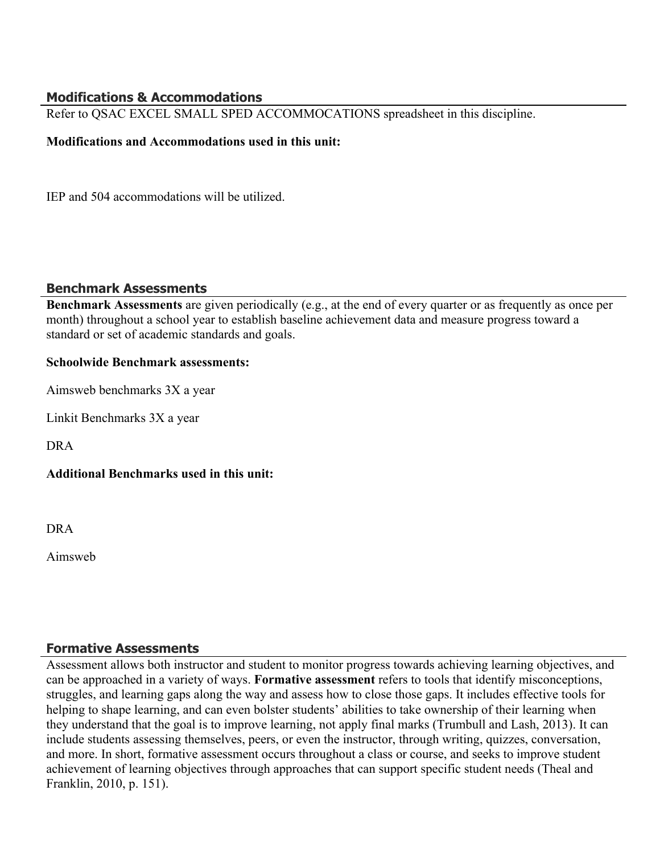# **Modifications & Accommodations**

Refer to QSAC EXCEL SMALL SPED ACCOMMOCATIONS spreadsheet in this discipline.

#### **Modifications and Accommodations used in this unit:**

IEP and 504 accommodations will be utilized.

## **Benchmark Assessments**

**Benchmark Assessments** are given periodically (e.g., at the end of every quarter or as frequently as once per month) throughout a school year to establish baseline achievement data and measure progress toward a standard or set of academic standards and goals.

#### **Schoolwide Benchmark assessments:**

Aimsweb benchmarks 3X a year

Linkit Benchmarks 3X a year

DRA

## **Additional Benchmarks used in this unit:**

DRA

Aimsweb

## **Formative Assessments**

Assessment allows both instructor and student to monitor progress towards achieving learning objectives, and can be approached in a variety of ways. **Formative assessment** refers to tools that identify misconceptions, struggles, and learning gaps along the way and assess how to close those gaps. It includes effective tools for helping to shape learning, and can even bolster students' abilities to take ownership of their learning when they understand that the goal is to improve learning, not apply final marks (Trumbull and Lash, 2013). It can include students assessing themselves, peers, or even the instructor, through writing, quizzes, conversation, and more. In short, formative assessment occurs throughout a class or course, and seeks to improve student achievement of learning objectives through approaches that can support specific student needs (Theal and Franklin, 2010, p. 151).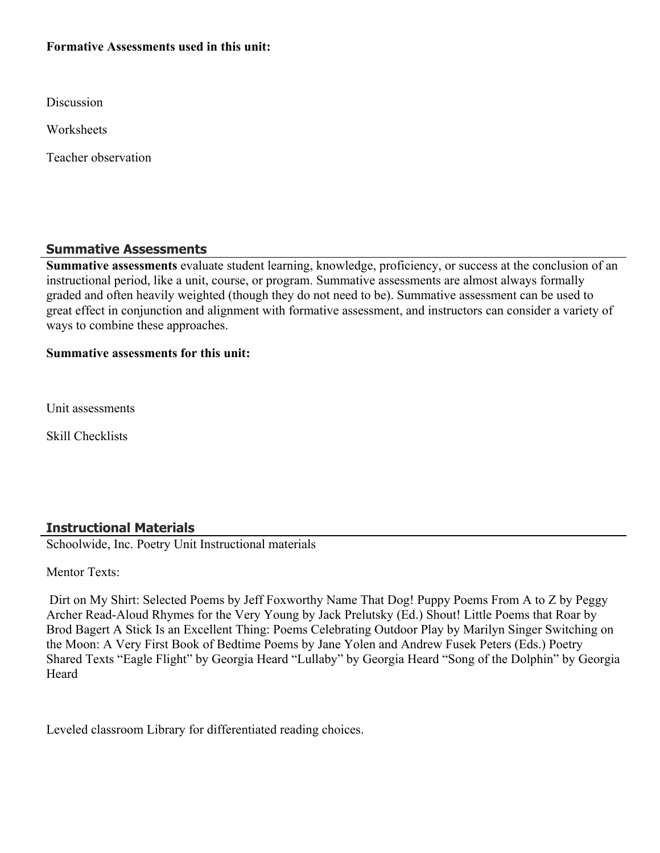## **Formative Assessments used in this unit:**

Discussion

**Worksheets** 

Teacher observation

# **Summative Assessments**

**Summative assessments** evaluate student learning, knowledge, proficiency, or success at the conclusion of an instructional period, like a unit, course, or program. Summative assessments are almost always formally graded and often heavily weighted (though they do not need to be). Summative assessment can be used to great effect in conjunction and alignment with formative assessment, and instructors can consider a variety of ways to combine these approaches.

#### **Summative assessments for this unit:**

Unit assessments

Skill Checklists

# **Instructional Materials**

Schoolwide, Inc. Poetry Unit Instructional materials

Mentor Texts<sup>-</sup>

 Dirt on My Shirt: Selected Poems by Jeff Foxworthy Name That Dog! Puppy Poems From A to Z by Peggy Archer Read-Aloud Rhymes for the Very Young by Jack Prelutsky (Ed.) Shout! Little Poems that Roar by Brod Bagert A Stick Is an Excellent Thing: Poems Celebrating Outdoor Play by Marilyn Singer Switching on the Moon: A Very First Book of Bedtime Poems by Jane Yolen and Andrew Fusek Peters (Eds.) Poetry Shared Texts "Eagle Flight" by Georgia Heard "Lullaby" by Georgia Heard "Song of the Dolphin" by Georgia **Heard** 

Leveled classroom Library for differentiated reading choices.